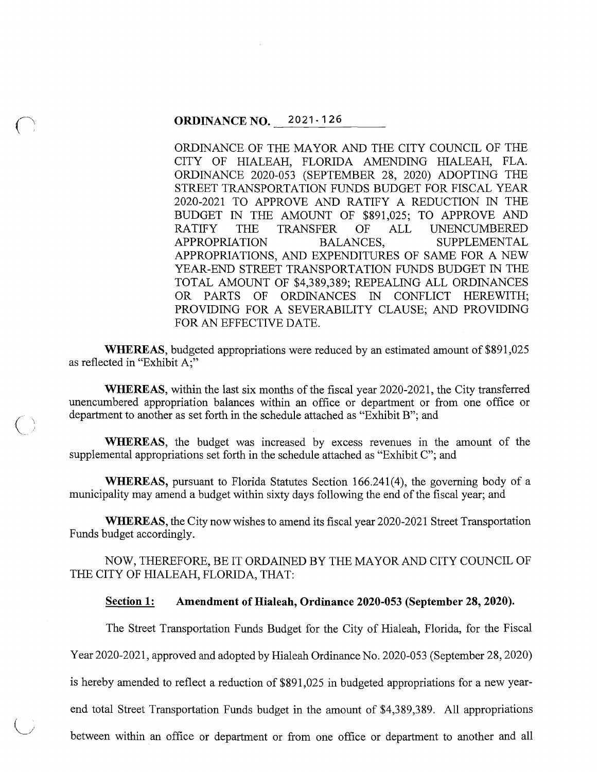$\bigcap$ 

*(\.\_\_j* 

ORDINANCE OF THE MAYOR AND THE CITY COUNCIL OF THE CITY OF HIALEAH, FLORIDA AMENDING HIALEAH, FLA. ORDINANCE 2020-053 (SEPTEMBER 28, 2020) ADOPTING THE STREET TRANSPORTATION FUNDS BUDGET FOR FISCAL YEAR 2020-2021 TO APPROVE AND RATIFY A REDUCTION IN THE BUDGET IN THE AMOUNT OF \$891,025; TO APPROVE AND RATIFY THE TRANSFER OF ALL UNENCUMBERED APPROPRIATION BALANCES, SUPPLEMENTAL APPROPRIATIONS, AND EXPENDITURES OF SAME FOR A NEW YEAR-END STREET TRANSPORTATION FUNDS BUDGET IN THE TOTAL AMOUNT OF \$4,389,389; REPEALING ALL ORDINANCES OR PARTS OF ORDINANCES IN CONFLICT HEREWITH; PROVIDING FOR A SEVERABILITY CLAUSE; AND PROVIDING FOR AN EFFECTIVE DATE.

**WHEREAS,** budgeted appropriations were reduced by an estimated amount of \$891,025 as reflected in "Exhibit A;"

**WHEREAS,** within the last six months of the fiscal year 2020-2021, the City transferred unencumbered appropriation balances within an office or department or from one office or department to another as set forth in the schedule attached as "Exhibit B"; and

**WHEREAS,** the budget was increased by excess revenues in the amount of the supplemental appropriations set forth in the schedule attached as "Exhibit C"; and

**WHEREAS,** pursuant to Florida Statutes Section 166.241(4), the governing body of a municipality may amend a budget within sixty days following the end of the fiscal year; and

**WHEREAS,** the City now wishes to amend its fiscal year 2020-2021 Street Transportation Funds budget accordingly.

NOW, THEREFORE, BE IT ORDAINED BY THE MAYOR AND CITY COUNCIL OF THE CITY OF HIALEAH, FLORIDA, THAT:

#### **Section 1: Amendment of Hialeah, Ordinance 2020-053 (September 28, 2020).**

The Street Transportation Funds Budget for the City of Hialeah, Florida, for the Fiscal

Year 2020-2021, approved and adopted by Hialeah Ordinance No. 2020-053 (September 28, 2020)

is hereby amended to reflect a reduction of \$891,025 in budgeted appropriations for a new year-

end total Street Transportation Funds budget in the amount of \$4,389,389. All appropriations

between within an office or department or from one office or department to another and all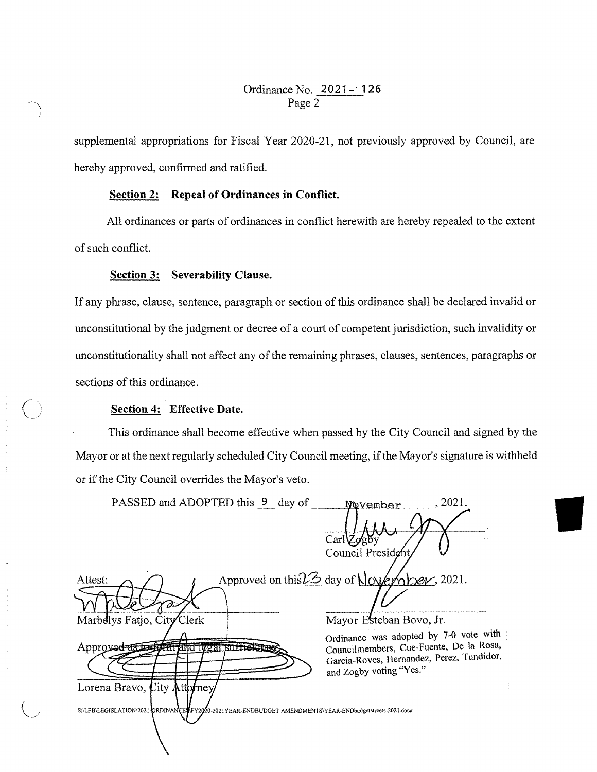## Ordinance No. **2021- 126**  Page 2

supplemental appropriations for Fiscal Year 2020-21, not previously approved by Council, are hereby approved, confirmed and ratified.

## **Section 2: Repeal of Ordinances in Conflict.**

All ordinances or parts of ordinances in conflict herewith are hereby repealed to the extent of such conflict.

#### **Section 3: Severability Clause.**

If any phrase, clause, sentence, paragraph or section of this ordinance shall be declared invalid or unconstitutional by the judgment or decree of a court of competent jurisdiction, such invalidity or unconstitutionality shall not affect any of the remaining phrases, clauses, sentences, paragraphs or sections of this ordinance.

## **Section 4: Effective Date.**

This ordinance shall become effective when passed by the City Council and signed by the Mayor or at the next regularly scheduled City Council meeting, if the Mayor's signature is withheld or if the City Council overrides the Mayor's veto.

| PASSED and ADOPTED this 9 day of                                                                       | 2021.<br>November                                                                 |
|--------------------------------------------------------------------------------------------------------|-----------------------------------------------------------------------------------|
|                                                                                                        |                                                                                   |
|                                                                                                        | CarlZq85y                                                                         |
|                                                                                                        | Council President                                                                 |
| Attest:                                                                                                | Approved on this 23 day of November, 2021.                                        |
|                                                                                                        |                                                                                   |
| Marbelys Fatio, City Clerk                                                                             | Mayor Esteban Bovo, Jr.                                                           |
| Approved as to form and local suff                                                                     | Ordinance was adopted by 7-0 vote with<br>Councilmembers, Cue-Fuente, De la Rosa, |
|                                                                                                        | Garcia-Roves, Hernandez, Perez, Tundidor,<br>and Zogby voting "Yes."              |
| Lorena Bravo, City Attorney                                                                            |                                                                                   |
| S:\LEB\LEGISLATION\2021-ORDINANCE\FY2020-2021YEAR-ENDBUDGET AMENDMENTS\YEAR-ENDbudgetstreets-2021.docx |                                                                                   |
|                                                                                                        |                                                                                   |
|                                                                                                        |                                                                                   |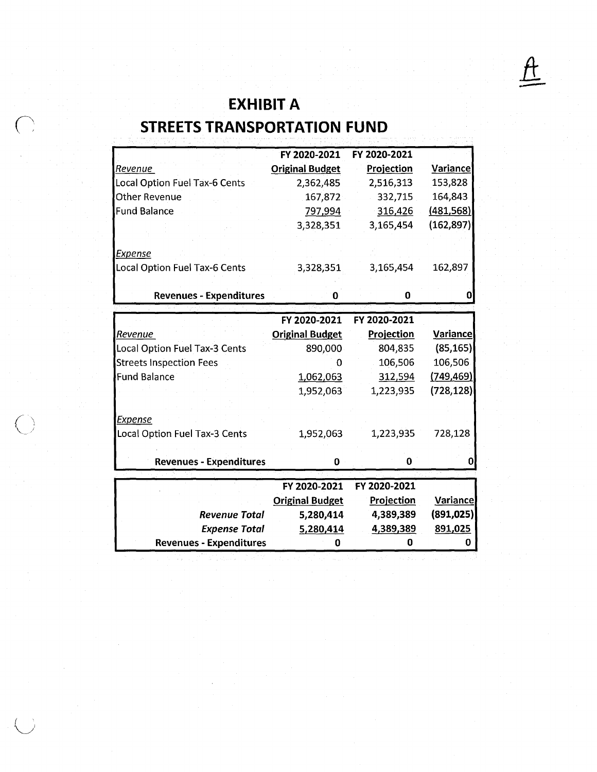# -- **EXHIBIT A STREETS TRANSPORTATION FUND**

|                                | FY 2020-2021           | FY 2020-2021      |                 |
|--------------------------------|------------------------|-------------------|-----------------|
| Revenue                        | <b>Original Budget</b> | Projection        | Variance        |
| Local Option Fuel Tax-6 Cents  | 2,362,485              | 2,516,313         | 153,828         |
| <b>Other Revenue</b>           | 167,872                | 332,715           | 164,843         |
| <b>Fund Balance</b>            | 797,994                | 316,426           | (481, 568)      |
|                                | 3,328,351              | 3,165,454         | (162, 897)      |
|                                |                        |                   |                 |
| <b>Expense</b>                 |                        |                   |                 |
| Local Option Fuel Tax-6 Cents  | 3,328,351              | 3,165,454         | 162,897         |
|                                |                        |                   |                 |
| <b>Revenues - Expenditures</b> | 0                      | 0                 |                 |
|                                |                        |                   |                 |
|                                | FY 2020-2021           | FY 2020-2021      |                 |
| Revenue                        | <b>Original Budget</b> | <b>Projection</b> | Variance        |
| Local Option Fuel Tax-3 Cents  | 890,000                | 804,835           | (85, 165)       |
| <b>Streets Inspection Fees</b> | O                      | 106,506           | 106,506         |
| <b>Fund Balance</b>            | 1,062,063              | 312,594           | (749, 469)      |
|                                | 1,952,063              | 1,223,935         | (728, 128)      |
|                                |                        |                   |                 |
| <b>Expense</b>                 |                        |                   |                 |
| Local Option Fuel Tax-3 Cents  | 1,952,063              | 1,223,935         | 728,128         |
|                                |                        |                   |                 |
| <b>Revenues - Expenditures</b> | 0                      | 0                 |                 |
|                                |                        |                   |                 |
|                                | FY 2020-2021           | FY 2020-2021      |                 |
|                                | <b>Original Budget</b> | <b>Projection</b> | <b>Variance</b> |
| <b>Revenue Total</b>           | 5,280,414              | 4,389,389         | (891, 025)      |
| <b>Expense Total</b>           | 5,280,414              | 4,389,389         | 891,025         |
| <b>Revenues - Expenditures</b> | 0                      | 0                 | 0               |
|                                |                        |                   |                 |

 $\searrow$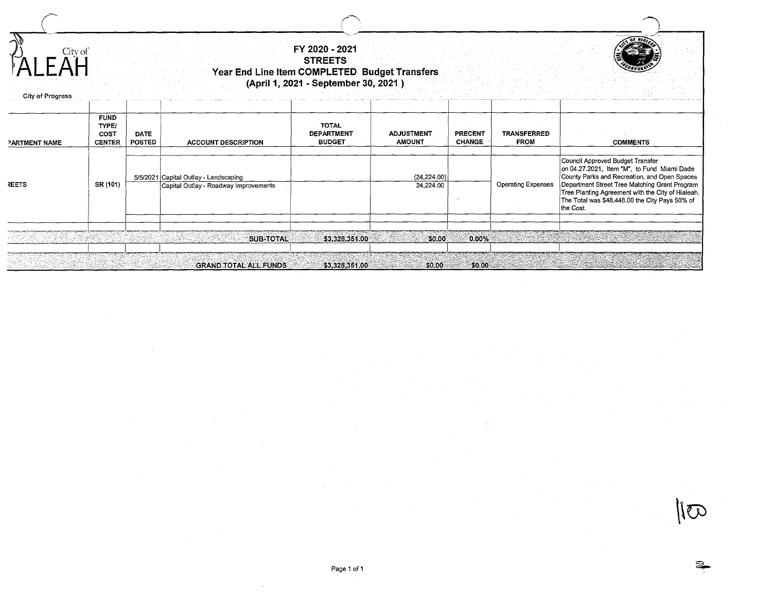|                                               |                              | FY 2020 - 2021<br><b>STREETS</b><br>Year End Line Item COMPLETED Budget Transfers<br>(April 1, 2021 - September 30, 2021) |                                                    |                                    |                                 |                            |                                                                                                                                                                                                                                                                                                      |  |  |
|-----------------------------------------------|------------------------------|---------------------------------------------------------------------------------------------------------------------------|----------------------------------------------------|------------------------------------|---------------------------------|----------------------------|------------------------------------------------------------------------------------------------------------------------------------------------------------------------------------------------------------------------------------------------------------------------------------------------------|--|--|
| <b>FUND</b><br>TYPE/<br>COST<br><b>CENTER</b> | <b>DATE</b><br><b>POSTED</b> | <b>ACCOUNT DESCRIPTION</b>                                                                                                | <b>TOTAL</b><br><b>DEPARTMENT</b><br><b>BUDGET</b> | <b>ADJUSTMENT</b><br><b>AMOUNT</b> | <b>PRECENT</b><br><b>CHANGE</b> | TRANSFERRED<br><b>FROM</b> | <b>COMMENTS</b>                                                                                                                                                                                                                                                                                      |  |  |
| SR (101)                                      |                              | Capital Outlay - Roadway Improvements                                                                                     |                                                    | 24,224.00                          |                                 | <b>Operating Expenses</b>  | Council Approved Budget Transfer<br>on 04.27.2021, Item "M", to Fund Miami Dade<br>County Parks and Recreation, and Open Spaces<br>Department Street Tree Matching Grant Program<br>Tree Planting Agreement with the City of Hialeah.<br>The Total was \$48,448.00 the City Pays 50% of<br>the Cost. |  |  |
|                                               |                              | <b>SUB-TOTAL</b>                                                                                                          |                                                    | \$0.00                             |                                 |                            |                                                                                                                                                                                                                                                                                                      |  |  |
|                                               | City of                      |                                                                                                                           | 5/5/2021 Capital Outlay - Landscaping              |                                    | \$3,328,351.00                  | (24, 224.00)               | $0.00\%$                                                                                                                                                                                                                                                                                             |  |  |

 $\overline{\mathcal{Z}}$ 

 $\sqrt{6}$